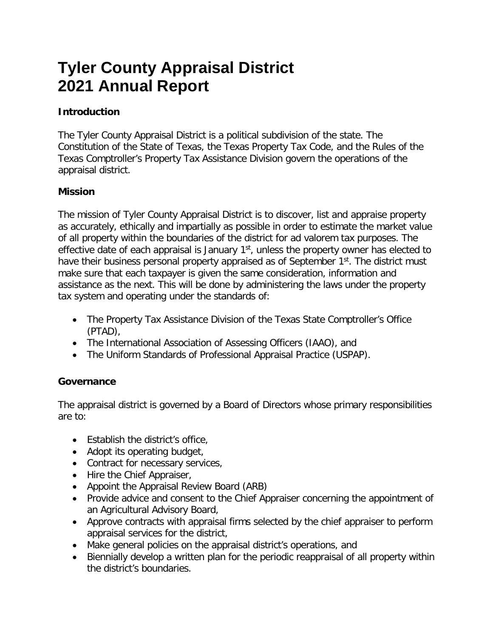# **Tyler County Appraisal District 2021 Annual Report**

## **Introduction**

The Tyler County Appraisal District is a political subdivision of the state. The Constitution of the State of Texas, the Texas Property Tax Code, and the Rules of the Texas Comptroller's Property Tax Assistance Division govern the operations of the appraisal district.

## **Mission**

The mission of Tyler County Appraisal District is to discover, list and appraise property as accurately, ethically and impartially as possible in order to estimate the market value of all property within the boundaries of the district for ad valorem tax purposes. The effective date of each appraisal is January 1<sup>st</sup>, unless the property owner has elected to have their business personal property appraised as of September 1<sup>st</sup>. The district must make sure that each taxpayer is given the same consideration, information and assistance as the next. This will be done by administering the laws under the property tax system and operating under the standards of:

- The Property Tax Assistance Division of the Texas State Comptroller's Office (PTAD),
- The International Association of Assessing Officers (IAAO), and
- The Uniform Standards of Professional Appraisal Practice (USPAP).

# **Governance**

The appraisal district is governed by a Board of Directors whose primary responsibilities are to:

- Establish the district's office.
- Adopt its operating budget,
- Contract for necessary services,
- Hire the Chief Appraiser,
- Appoint the Appraisal Review Board (ARB)
- Provide advice and consent to the Chief Appraiser concerning the appointment of an Agricultural Advisory Board,
- Approve contracts with appraisal firms selected by the chief appraiser to perform appraisal services for the district,
- Make general policies on the appraisal district's operations, and
- Biennially develop a written plan for the periodic reappraisal of all property within the district's boundaries.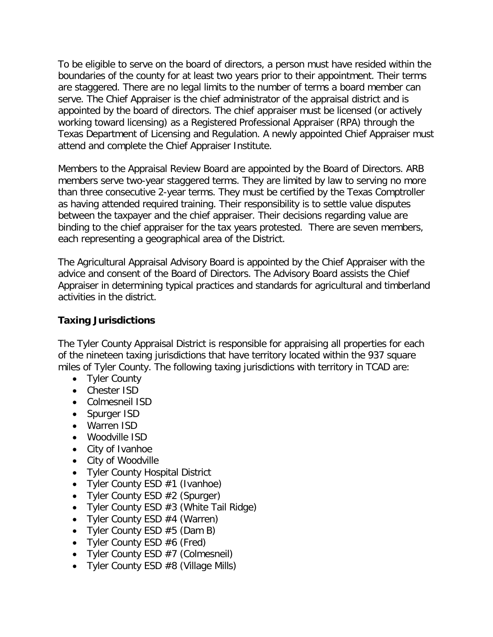To be eligible to serve on the board of directors, a person must have resided within the boundaries of the county for at least two years prior to their appointment. Their terms are staggered. There are no legal limits to the number of terms a board member can serve. The Chief Appraiser is the chief administrator of the appraisal district and is appointed by the board of directors. The chief appraiser must be licensed (or actively working toward licensing) as a Registered Professional Appraiser (RPA) through the Texas Department of Licensing and Regulation. A newly appointed Chief Appraiser must attend and complete the Chief Appraiser Institute.

Members to the Appraisal Review Board are appointed by the Board of Directors. ARB members serve two-year staggered terms. They are limited by law to serving no more than three consecutive 2-year terms. They must be certified by the Texas Comptroller as having attended required training. Their responsibility is to settle value disputes between the taxpayer and the chief appraiser. Their decisions regarding value are binding to the chief appraiser for the tax years protested. There are seven members, each representing a geographical area of the District.

The Agricultural Appraisal Advisory Board is appointed by the Chief Appraiser with the advice and consent of the Board of Directors. The Advisory Board assists the Chief Appraiser in determining typical practices and standards for agricultural and timberland activities in the district.

## **Taxing Jurisdictions**

The Tyler County Appraisal District is responsible for appraising all properties for each of the nineteen taxing jurisdictions that have territory located within the 937 square miles of Tyler County. The following taxing jurisdictions with territory in TCAD are:

- Tyler County
- Chester ISD
- Colmesneil ISD
- Spurger ISD
- Warren ISD
- Woodville ISD
- City of Ivanhoe
- City of Woodville
- Tyler County Hospital District
- Tyler County ESD #1 (Ivanhoe)
- Tyler County ESD #2 (Spurger)
- Tyler County ESD #3 (White Tail Ridge)
- Tyler County ESD  $#4$  (Warren)
- Tyler County ESD #5 (Dam B)
- Tyler County ESD #6 (Fred)
- Tyler County ESD #7 (Colmesneil)
- Tyler County ESD #8 (Village Mills)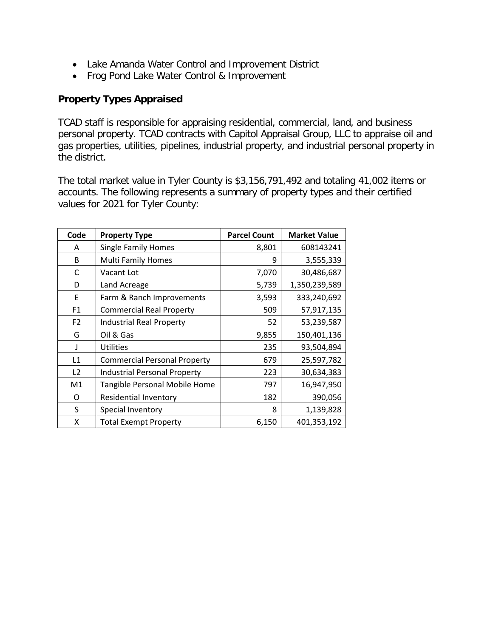- Lake Amanda Water Control and Improvement District
- Frog Pond Lake Water Control & Improvement

## **Property Types Appraised**

TCAD staff is responsible for appraising residential, commercial, land, and business personal property. TCAD contracts with Capitol Appraisal Group, LLC to appraise oil and gas properties, utilities, pipelines, industrial property, and industrial personal property in the district.

The total market value in Tyler County is \$3,156,791,492 and totaling 41,002 items or accounts. The following represents a summary of property types and their certified values for 2021 for Tyler County:

| Code           | <b>Property Type</b>                | <b>Parcel Count</b> | <b>Market Value</b> |
|----------------|-------------------------------------|---------------------|---------------------|
| A              | <b>Single Family Homes</b>          | 8,801               | 608143241           |
| <sub>B</sub>   | <b>Multi Family Homes</b>           | 9                   | 3,555,339           |
| С              | Vacant Lot                          | 7,070               | 30,486,687          |
| D              | Land Acreage                        | 5,739               | 1,350,239,589       |
| E              | Farm & Ranch Improvements           | 3,593               | 333,240,692         |
| F1             | <b>Commercial Real Property</b>     | 509                 | 57,917,135          |
| F <sub>2</sub> | <b>Industrial Real Property</b>     | 52                  | 53,239,587          |
| G              | Oil & Gas                           | 9,855               | 150,401,136         |
| J              | <b>Utilities</b>                    | 235                 | 93,504,894          |
| L1             | <b>Commercial Personal Property</b> | 679                 | 25,597,782          |
| L <sub>2</sub> | <b>Industrial Personal Property</b> | 223                 | 30,634,383          |
| M1             | Tangible Personal Mobile Home       | 797                 | 16,947,950          |
| O              | <b>Residential Inventory</b>        | 182                 | 390,056             |
| S              | Special Inventory                   | 8                   | 1,139,828           |
| X              | <b>Total Exempt Property</b>        | 6,150               | 401,353,192         |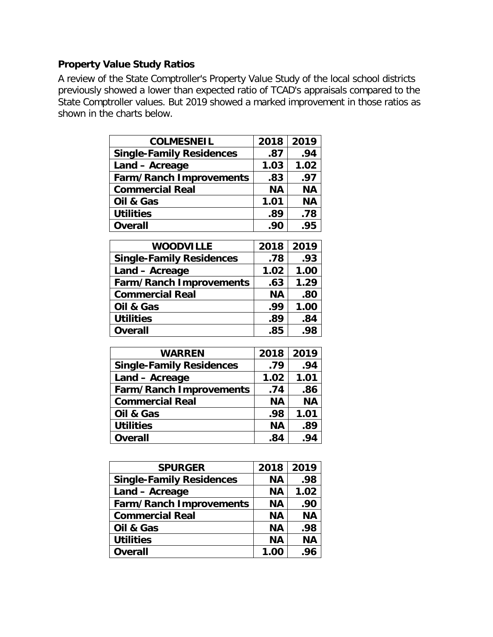# **Property Value Study Ratios**

A review of the State Comptroller's Property Value Study of the local school districts previously showed a lower than expected ratio of TCAD's appraisals compared to the State Comptroller values. But 2019 showed a marked improvement in those ratios as shown in the charts below.

| <b>COLMESNEIL</b>               | 2018      | 2019      |
|---------------------------------|-----------|-----------|
| <b>Single-Family Residences</b> | .87       | .94       |
| Land - Acreage                  | 1.03      | 1.02      |
| <b>Farm/Ranch Improvements</b>  | .83       | .97       |
| <b>Commercial Real</b>          | <b>NA</b> | <b>NA</b> |
| Oil & Gas                       | 1.01      | <b>NA</b> |
| <b>Utilities</b>                | .89       | .78       |
| <b>Overall</b>                  | .90       | .95       |

| <b>WOODVILLE</b>                | 2018      | 2019 |
|---------------------------------|-----------|------|
| <b>Single-Family Residences</b> | .78       | .93  |
| Land - Acreage                  | 1.02      | 1.00 |
| <b>Farm/Ranch Improvements</b>  | .63       | 1.29 |
| <b>Commercial Real</b>          | <b>NA</b> | .80  |
| Oil & Gas                       | .99       | 1.00 |
| <b>Utilities</b>                | .89       | .84  |
| <b>Overall</b>                  | .85       | .98  |

| <b>WARREN</b>                   | 2018      | 2019      |
|---------------------------------|-----------|-----------|
| <b>Single-Family Residences</b> | .79       | .94       |
| Land - Acreage                  | 1.02      | 1.01      |
| <b>Farm/Ranch Improvements</b>  | .74       | .86       |
| <b>Commercial Real</b>          | <b>NA</b> | <b>NA</b> |
| Oil & Gas                       | .98       | 1.01      |
| <b>Utilities</b>                | <b>NA</b> | .89       |
| <b>Overall</b>                  | .84       | .94       |

| <b>SPURGER</b>                  | 2018      | 2019      |
|---------------------------------|-----------|-----------|
| <b>Single-Family Residences</b> | <b>NA</b> | .98       |
| Land - Acreage                  | <b>NA</b> | 1.02      |
| <b>Farm/Ranch Improvements</b>  | <b>NA</b> | .90       |
| <b>Commercial Real</b>          | <b>NA</b> | <b>NA</b> |
| Oil & Gas                       | <b>NA</b> | .98       |
| <b>Utilities</b>                | <b>NA</b> | <b>NA</b> |
| <b>Overall</b>                  | 1.00      | .96       |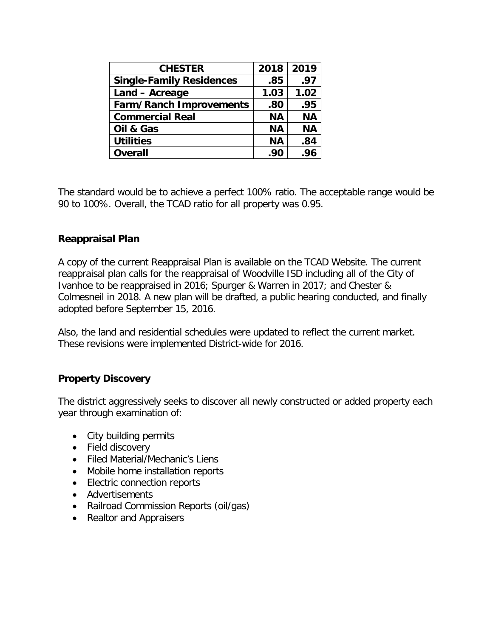| 2018      | 2019      |
|-----------|-----------|
| .85       | .97       |
| 1.03      | 1.02      |
| .80       | .95       |
| <b>NA</b> | <b>NA</b> |
| <b>NA</b> | <b>NA</b> |
| <b>NA</b> | .84       |
| .90       | .96       |
|           |           |

The standard would be to achieve a perfect 100% ratio. The acceptable range would be 90 to 100%. Overall, the TCAD ratio for all property was 0.95.

## **Reappraisal Plan**

A copy of the current Reappraisal Plan is available on the TCAD Website. The current reappraisal plan calls for the reappraisal of Woodville ISD including all of the City of Ivanhoe to be reappraised in 2016; Spurger & Warren in 2017; and Chester & Colmesneil in 2018. A new plan will be drafted, a public hearing conducted, and finally adopted before September 15, 2016.

Also, the land and residential schedules were updated to reflect the current market. These revisions were implemented District-wide for 2016.

## **Property Discovery**

The district aggressively seeks to discover all newly constructed or added property each year through examination of:

- City building permits
- Field discovery
- Filed Material/Mechanic's Liens
- Mobile home installation reports
- Electric connection reports
- Advertisements
- Railroad Commission Reports (oil/gas)
- Realtor and Appraisers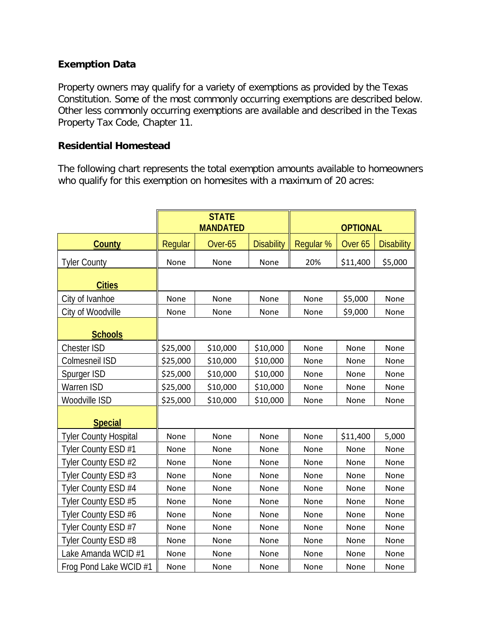## **Exemption Data**

Property owners may qualify for a variety of exemptions as provided by the Texas Constitution. Some of the most commonly occurring exemptions are described below. Other less commonly occurring exemptions are available and described in the Texas Property Tax Code, Chapter 11.

### **Residential Homestead**

The following chart represents the total exemption amounts available to homeowners who qualify for this exemption on homesites with a maximum of 20 acres:

|                              | <b>STATE</b><br><b>MANDATED</b> |          | <b>OPTIONAL</b>   |           |                    |                   |
|------------------------------|---------------------------------|----------|-------------------|-----------|--------------------|-------------------|
| <b>County</b>                | Regular                         | Over-65  | <b>Disability</b> | Regular % | Over <sub>65</sub> | <b>Disability</b> |
| <b>Tyler County</b>          | None                            | None     | None              | 20%       | \$11,400           | \$5,000           |
| <b>Cities</b>                |                                 |          |                   |           |                    |                   |
| City of Ivanhoe              | None                            | None     | None              | None      | \$5,000            | None              |
| City of Woodville            | None                            | None     | None              | None      | \$9,000            | None              |
| <b>Schools</b>               |                                 |          |                   |           |                    |                   |
| <b>Chester ISD</b>           | \$25,000                        | \$10,000 | \$10,000          | None      | None               | None              |
| Colmesneil ISD               | \$25,000                        | \$10,000 | \$10,000          | None      | None               | None              |
| Spurger ISD                  | \$25,000                        | \$10,000 | \$10,000          | None      | None               | None              |
| <b>Warren ISD</b>            | \$25,000                        | \$10,000 | \$10,000          | None      | None               | None              |
| Woodville ISD                | \$25,000                        | \$10,000 | \$10,000          | None      | None               | None              |
| <b>Special</b>               |                                 |          |                   |           |                    |                   |
| <b>Tyler County Hospital</b> | None                            | None     | None              | None      | \$11,400           | 5,000             |
| Tyler County ESD #1          | None                            | None     | None              | None      | None               | None              |
| Tyler County ESD #2          | None                            | None     | None              | None      | None               | None              |
| Tyler County ESD #3          | None                            | None     | None              | None      | None               | None              |
| Tyler County ESD #4          | None                            | None     | None              | None      | None               | None              |
| Tyler County ESD #5          | None                            | None     | None              | None      | None               | None              |
| Tyler County ESD #6          | None                            | None     | None              | None      | None               | None              |
| Tyler County ESD #7          | None                            | None     | None              | None      | None               | None              |
| Tyler County ESD #8          | None                            | None     | None              | None      | None               | None              |
| Lake Amanda WCID #1          | None                            | None     | None              | None      | None               | None              |
| Frog Pond Lake WCID #1       | None                            | None     | None              | None      | None               | None              |